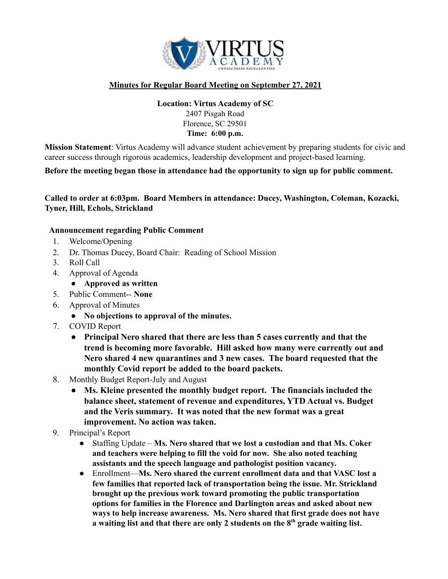

## **Minutes for Regular Board Meeting on September 27, 2021**

## **Location: Virtus Academy of SC** 2407 Pisgah Road Florence, SC 29501 **Time: 6:00 p.m.**

**Mission Statement**: Virtus Academy will advance student achievement by preparing students for civic and career success through rigorous academics, leadership development and project-based learning.

**Before the meeting began those in attendance had the opportunity to sign up for public comment.**

**Called to order at 6:03pm. Board Members in attendance: Ducey, Washington, Coleman, Kozacki, Tyner, Hill, Echols, Strickland**

## **Announcement regarding Public Comment**

- 1. Welcome/Opening
- 2. Dr. Thomas Ducey, Board Chair: Reading of School Mission
- 3. Roll Call
- 4. Approval of Agenda
	- **● Approved as written**
- 5. Public Comment-- **None**
- 6. Approval of Minutes
	- **● No objections to approval of the minutes.**
- 7. COVID Report
	- **● Principal Nero shared that there are less than 5 cases currently and that the trend is becoming more favorable. Hill asked how many were currently out and Nero shared 4 new quarantines and 3 new cases. The board requested that the monthly Covid report be added to the board packets.**
- 8. Monthly Budget Report-July and August
	- **● Ms. Kleine presented the monthly budget report. The financials included the balance sheet, statement of revenue and expenditures, YTD Actual vs. Budget and the Veris summary. It was noted that the new format was a great improvement. No action was taken.**
- 9. Principal's Report
	- Staffing Update **Ms. Nero shared that we lost a custodian and that Ms. Coker and teachers were helping to fill the void for now. She also noted teaching assistants and the speech language and pathologist position vacancy.**
	- Enrollment—**Ms. Nero shared the current enrollment data and that VASC lost a few families that reported lack of transportation being the issue. Mr. Strickland brought up the previous work toward promoting the public transportation options for families in the Florence and Darlington areas and asked about new ways to help increase awareness. Ms. Nero shared that first grade does not have a waiting list and that there are only 2 students on the 8 th grade waiting list.**